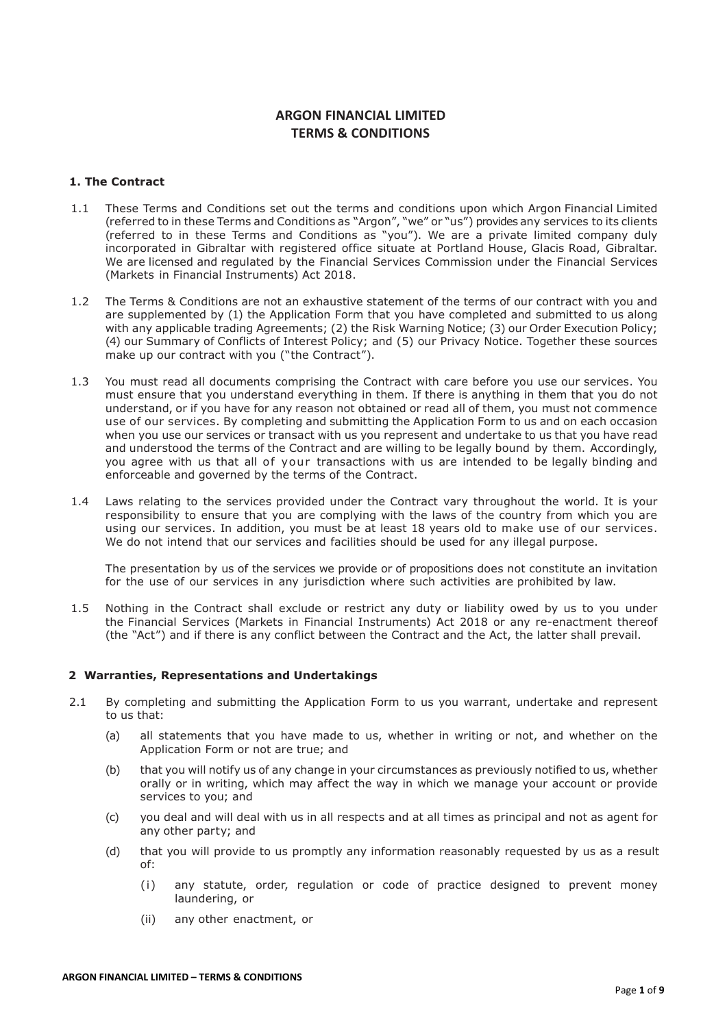# ARGON FINANCIAL LIMITED TERMS & CONDITIONS

## 1. The Contract

- 1.1 These Terms and Conditions set out the terms and conditions upon which Argon Financial Limited (referred to in these Terms and Conditions as "Argon", "we" or "us") provides any services to its clients (referred to in these Terms and Conditions as "you"). We are a private limited company duly incorporated in Gibraltar with registered office situate at Portland House, Glacis Road, Gibraltar. We are licensed and regulated by the Financial Services Commission under the Financial Services (Markets in Financial Instruments) Act 2018.
- 1.2 The Terms & Conditions are not an exhaustive statement of the terms of our contract with you and are supplemented by (1) the Application Form that you have completed and submitted to us along with any applicable trading Agreements; (2) the Risk Warning Notice; (3) our Order Execution Policy; (4) our Summary of Conflicts of Interest Policy; and (5) our Privacy Notice. Together these sources make up our contract with you ("the Contract").
- 1.3 You must read all documents comprising the Contract with care before you use our services. You must ensure that you understand everything in them. If there is anything in them that you do not understand, or if you have for any reason not obtained or read all of them, you must not commence use of our services. By completing and submitting the Application Form to us and on each occasion when you use our services or transact with us you represent and undertake to us that you have read and understood the terms of the Contract and are willing to be legally bound by them. Accordingly, you agree with us that all of your transactions with us are intended to be legally binding and enforceable and governed by the terms of the Contract.
- 1.4 Laws relating to the services provided under the Contract vary throughout the world. It is your responsibility to ensure that you are complying with the laws of the country from which you are using our services. In addition, you must be at least 18 years old to make use of our services. We do not intend that our services and facilities should be used for any illegal purpose.

The presentation by us of the services we provide or of propositions does not constitute an invitation for the use of our services in any jurisdiction where such activities are prohibited by law.

1.5 Nothing in the Contract shall exclude or restrict any duty or liability owed by us to you under the Financial Services (Markets in Financial Instruments) Act 2018 or any re-enactment thereof (the "Act") and if there is any conflict between the Contract and the Act, the latter shall prevail.

## 2 Warranties, Representations and Undertakings

- 2.1 By completing and submitting the Application Form to us you warrant, undertake and represent to us that:
	- (a) all statements that you have made to us, whether in writing or not, and whether on the Application Form or not are true; and
	- (b) that you will notify us of any change in your circumstances as previously notified to us, whether orally or in writing, which may affect the way in which we manage your account or provide services to you; and
	- (c) you deal and will deal with us in all respects and at all times as principal and not as agent for any other party; and
	- (d) that you will provide to us promptly any information reasonably requested by us as a result of:
		- (i) any statute, order, regulation or code of practice designed to prevent money laundering, or
		- (ii) any other enactment, or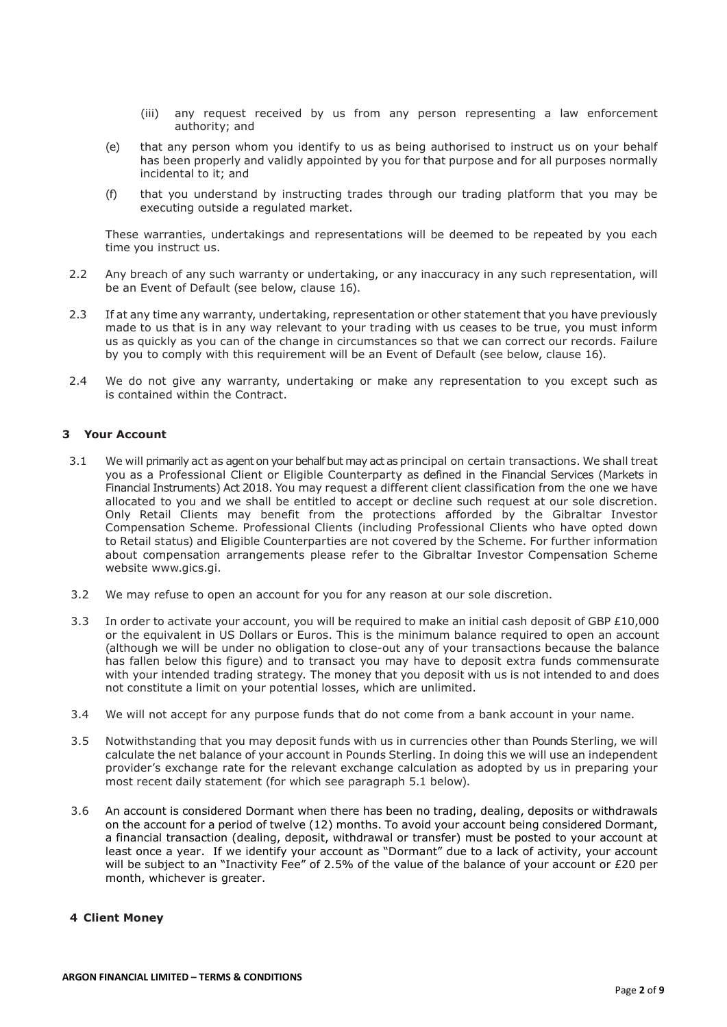- (iii) any request received by us from any person representing a law enforcement authority; and
- (e) that any person whom you identify to us as being authorised to instruct us on your behalf has been properly and validly appointed by you for that purpose and for all purposes normally incidental to it; and
- (f) that you understand by instructing trades through our trading platform that you may be executing outside a regulated market.

These warranties, undertakings and representations will be deemed to be repeated by you each time you instruct us.

- 2.2 Any breach of any such warranty or undertaking, or any inaccuracy in any such representation, will be an Event of Default (see below, clause 16).
- 2.3 If at any time any warranty, undertaking, representation or other statement that you have previously made to us that is in any way relevant to your trading with us ceases to be true, you must inform us as quickly as you can of the change in circumstances so that we can correct our records. Failure by you to comply with this requirement will be an Event of Default (see below, clause 16).
- 2.4 We do not give any warranty, undertaking or make any representation to you except such as is contained within the Contract.

# 3 Your Account

- 3.1 We will primarily act as agent on your behalf but may act as principal on certain transactions. We shall treat you as a Professional Client or Eligible Counterparty as defined in the Financial Services (Markets in Financial Instruments) Act 2018. You may request a different client classification from the one we have allocated to you and we shall be entitled to accept or decline such request at our sole discretion. Only Retail Clients may benefit from the protections afforded by the Gibraltar Investor Compensation Scheme. Professional Clients (including Professional Clients who have opted down to Retail status) and Eligible Counterparties are not covered by the Scheme. For further information about compensation arrangements please refer to the Gibraltar Investor Compensation Scheme website www.gics.gi.
- 3.2 We may refuse to open an account for you for any reason at our sole discretion.
- 3.3 In order to activate your account, you will be required to make an initial cash deposit of GBP £10,000 or the equivalent in US Dollars or Euros. This is the minimum balance required to open an account (although we will be under no obligation to close-out any of your transactions because the balance has fallen below this figure) and to transact you may have to deposit extra funds commensurate with your intended trading strategy. The money that you deposit with us is not intended to and does not constitute a limit on your potential losses, which are unlimited.
- 3.4 We will not accept for any purpose funds that do not come from a bank account in your name.
- 3.5 Notwithstanding that you may deposit funds with us in currencies other than Pounds Sterling, we will calculate the net balance of your account in Pounds Sterling. In doing this we will use an independent provider's exchange rate for the relevant exchange calculation as adopted by us in preparing your most recent daily statement (for which see paragraph 5.1 below).
- 3.6 An account is considered Dormant when there has been no trading, dealing, deposits or withdrawals on the account for a period of twelve (12) months. To avoid your account being considered Dormant, a financial transaction (dealing, deposit, withdrawal or transfer) must be posted to your account at least once a year. If we identify your account as "Dormant" due to a lack of activity, your account will be subject to an "Inactivity Fee" of 2.5% of the value of the balance of your account or £20 per month, whichever is greater.

# 4 Client Money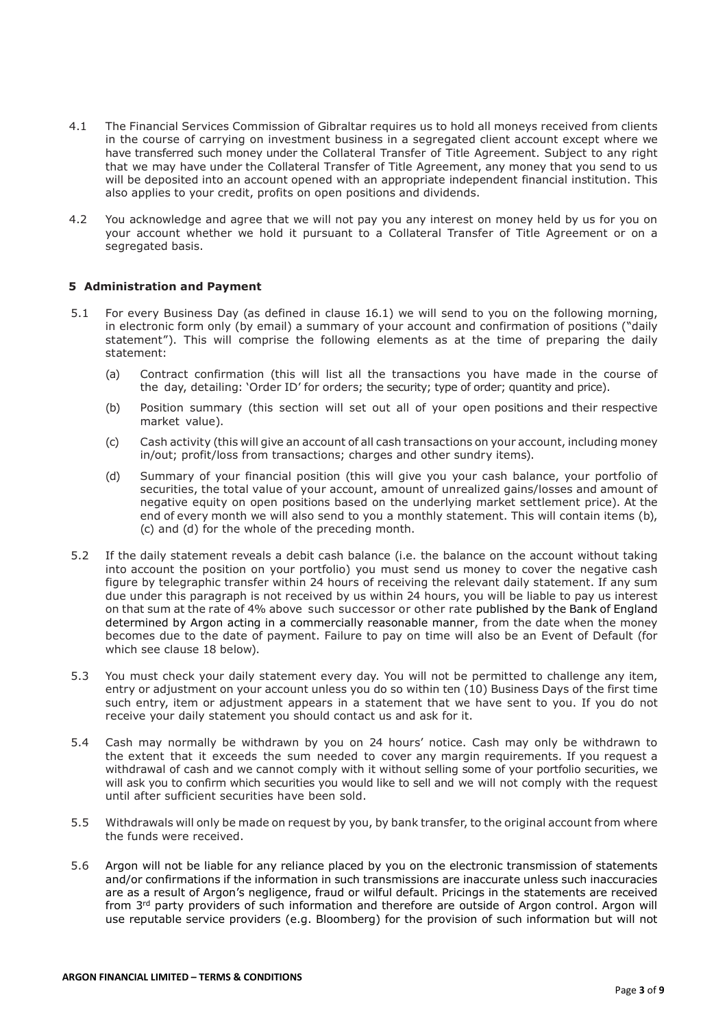- 4.1 The Financial Services Commission of Gibraltar requires us to hold all moneys received from clients in the course of carrying on investment business in a segregated client account except where we have transferred such money under the Collateral Transfer of Title Agreement. Subject to any right that we may have under the Collateral Transfer of Title Agreement, any money that you send to us will be deposited into an account opened with an appropriate independent financial institution. This also applies to your credit, profits on open positions and dividends.
- 4.2 You acknowledge and agree that we will not pay you any interest on money held by us for you on your account whether we hold it pursuant to a Collateral Transfer of Title Agreement or on a segregated basis.

## 5 Administration and Payment

- 5.1 For every Business Day (as defined in clause 16.1) we will send to you on the following morning, in electronic form only (by email) a summary of your account and confirmation of positions ("daily statement"). This will comprise the following elements as at the time of preparing the daily statement:
	- (a) Contract confirmation (this will list all the transactions you have made in the course of the day, detailing: 'Order ID' for orders; the security; type of order; quantity and price).
	- (b) Position summary (this section will set out all of your open positions and their respective market value).
	- (c) Cash activity (this will give an account of all cash transactions on your account, including money in/out; profit/loss from transactions; charges and other sundry items).
	- (d) Summary of your financial position (this will give you your cash balance, your portfolio of securities, the total value of your account, amount of unrealized gains/losses and amount of negative equity on open positions based on the underlying market settlement price). At the end of every month we will also send to you a monthly statement. This will contain items (b), (c) and (d) for the whole of the preceding month.
- 5.2 If the daily statement reveals a debit cash balance (i.e. the balance on the account without taking into account the position on your portfolio) you must send us money to cover the negative cash figure by telegraphic transfer within 24 hours of receiving the relevant daily statement. If any sum due under this paragraph is not received by us within 24 hours, you will be liable to pay us interest on that sum at the rate of 4% above such successor or other rate published by the Bank of England determined by Argon acting in a commercially reasonable manner, from the date when the money becomes due to the date of payment. Failure to pay on time will also be an Event of Default (for which see clause 18 below).
- 5.3 You must check your daily statement every day. You will not be permitted to challenge any item, entry or adjustment on your account unless you do so within ten (10) Business Days of the first time such entry, item or adjustment appears in a statement that we have sent to you. If you do not receive your daily statement you should contact us and ask for it.
- 5.4 Cash may normally be withdrawn by you on 24 hours' notice. Cash may only be withdrawn to the extent that it exceeds the sum needed to cover any margin requirements. If you request a withdrawal of cash and we cannot comply with it without selling some of your portfolio securities, we will ask you to confirm which securities you would like to sell and we will not comply with the request until after sufficient securities have been sold.
- 5.5 Withdrawals will only be made on request by you, by bank transfer, to the original account from where the funds were received.
- 5.6 Argon will not be liable for any reliance placed by you on the electronic transmission of statements and/or confirmations if the information in such transmissions are inaccurate unless such inaccuracies are as a result of Argon's negligence, fraud or wilful default. Pricings in the statements are received from 3<sup>rd</sup> party providers of such information and therefore are outside of Argon control. Argon will use reputable service providers (e.g. Bloomberg) for the provision of such information but will not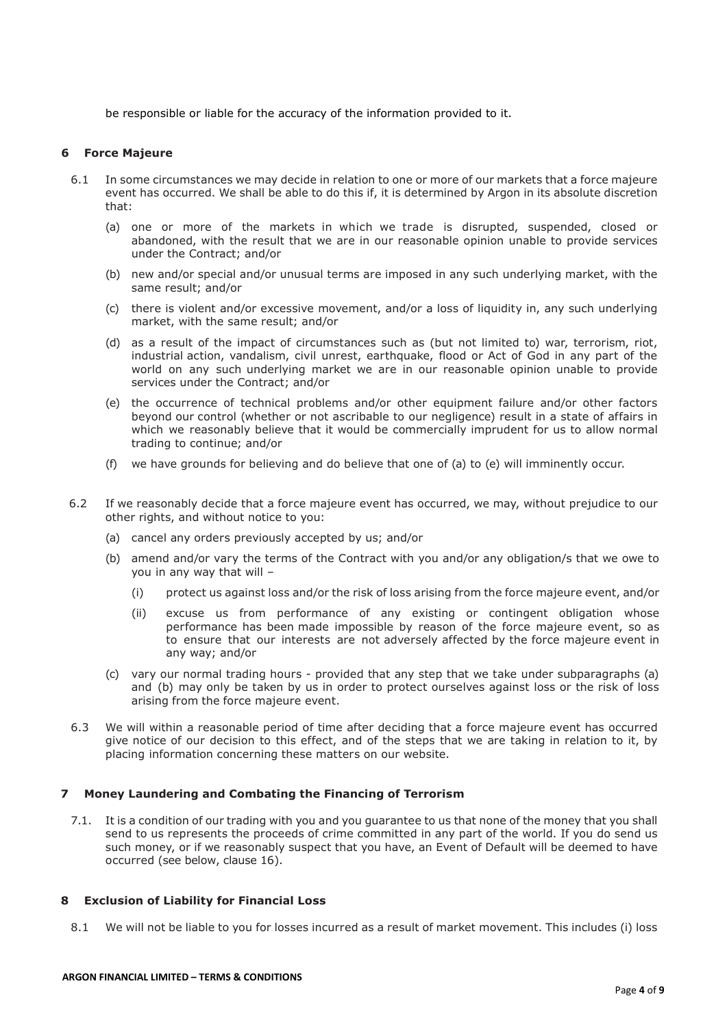be responsible or liable for the accuracy of the information provided to it.

#### 6 Force Majeure

- 6.1 In some circumstances we may decide in relation to one or more of our markets that a force majeure event has occurred. We shall be able to do this if, it is determined by Argon in its absolute discretion that:
	- (a) one or more of the markets in which we trade is disrupted, suspended, closed or abandoned, with the result that we are in our reasonable opinion unable to provide services under the Contract; and/or
	- (b) new and/or special and/or unusual terms are imposed in any such underlying market, with the same result; and/or
	- (c) there is violent and/or excessive movement, and/or a loss of liquidity in, any such underlying market, with the same result; and/or
	- (d) as a result of the impact of circumstances such as (but not limited to) war, terrorism, riot, industrial action, vandalism, civil unrest, earthquake, flood or Act of God in any part of the world on any such underlying market we are in our reasonable opinion unable to provide services under the Contract; and/or
	- (e) the occurrence of technical problems and/or other equipment failure and/or other factors beyond our control (whether or not ascribable to our negligence) result in a state of affairs in which we reasonably believe that it would be commercially imprudent for us to allow normal trading to continue; and/or
	- (f) we have grounds for believing and do believe that one of (a) to (e) will imminently occur.
- 6.2 If we reasonably decide that a force majeure event has occurred, we may, without prejudice to our other rights, and without notice to you:
	- (a) cancel any orders previously accepted by us; and/or
	- (b) amend and/or vary the terms of the Contract with you and/or any obligation/s that we owe to you in any way that will –
		- (i) protect us against loss and/or the risk of loss arising from the force majeure event, and/or
		- (ii) excuse us from performance of any existing or contingent obligation whose performance has been made impossible by reason of the force majeure event, so as to ensure that our interests are not adversely affected by the force majeure event in any way; and/or
	- (c) vary our normal trading hours provided that any step that we take under subparagraphs (a) and (b) may only be taken by us in order to protect ourselves against loss or the risk of loss arising from the force majeure event.
- 6.3 We will within a reasonable period of time after deciding that a force majeure event has occurred give notice of our decision to this effect, and of the steps that we are taking in relation to it, by placing information concerning these matters on our website.

# 7 Money Laundering and Combating the Financing of Terrorism

7.1. It is a condition of our trading with you and you guarantee to us that none of the money that you shall send to us represents the proceeds of crime committed in any part of the world. If you do send us such money, or if we reasonably suspect that you have, an Event of Default will be deemed to have occurred (see below, clause 16).

## 8 Exclusion of Liability for Financial Loss

8.1 We will not be liable to you for losses incurred as a result of market movement. This includes (i) loss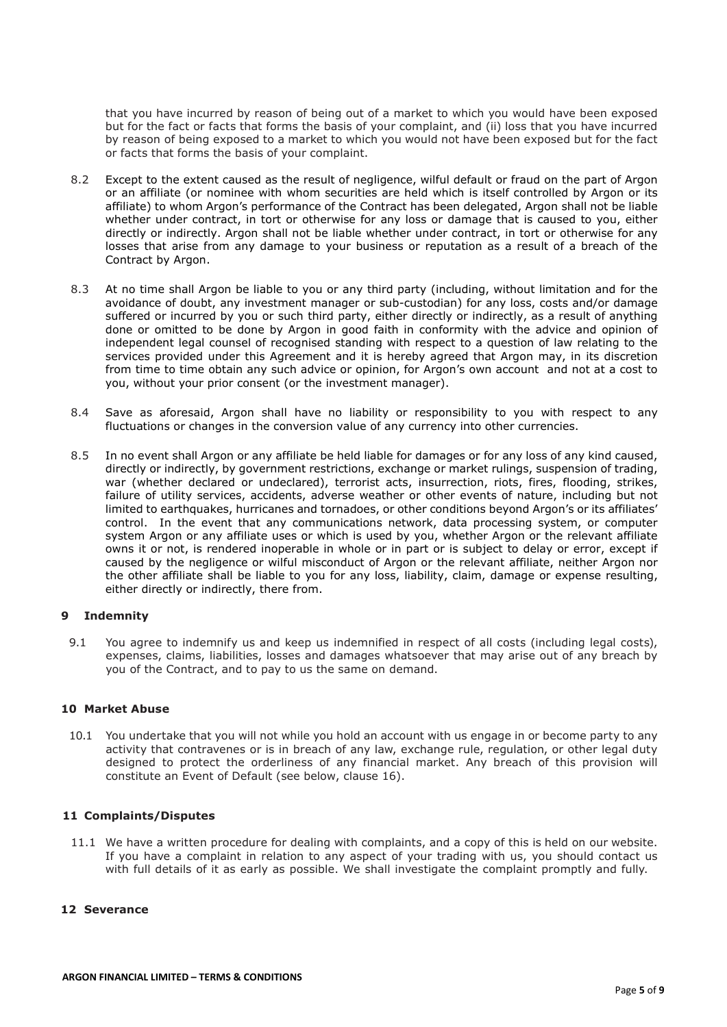that you have incurred by reason of being out of a market to which you would have been exposed but for the fact or facts that forms the basis of your complaint, and (ii) loss that you have incurred by reason of being exposed to a market to which you would not have been exposed but for the fact or facts that forms the basis of your complaint.

- 8.2 Except to the extent caused as the result of negligence, wilful default or fraud on the part of Argon or an affiliate (or nominee with whom securities are held which is itself controlled by Argon or its affiliate) to whom Argon's performance of the Contract has been delegated, Argon shall not be liable whether under contract, in tort or otherwise for any loss or damage that is caused to you, either directly or indirectly. Argon shall not be liable whether under contract, in tort or otherwise for any losses that arise from any damage to your business or reputation as a result of a breach of the Contract by Argon.
- 8.3 At no time shall Argon be liable to you or any third party (including, without limitation and for the avoidance of doubt, any investment manager or sub-custodian) for any loss, costs and/or damage suffered or incurred by you or such third party, either directly or indirectly, as a result of anything done or omitted to be done by Argon in good faith in conformity with the advice and opinion of independent legal counsel of recognised standing with respect to a question of law relating to the services provided under this Agreement and it is hereby agreed that Argon may, in its discretion from time to time obtain any such advice or opinion, for Argon's own account and not at a cost to you, without your prior consent (or the investment manager).
- 8.4 Save as aforesaid, Argon shall have no liability or responsibility to you with respect to any fluctuations or changes in the conversion value of any currency into other currencies.
- 8.5 In no event shall Argon or any affiliate be held liable for damages or for any loss of any kind caused, directly or indirectly, by government restrictions, exchange or market rulings, suspension of trading, war (whether declared or undeclared), terrorist acts, insurrection, riots, fires, flooding, strikes, failure of utility services, accidents, adverse weather or other events of nature, including but not limited to earthquakes, hurricanes and tornadoes, or other conditions beyond Argon's or its affiliates' control. In the event that any communications network, data processing system, or computer system Argon or any affiliate uses or which is used by you, whether Argon or the relevant affiliate owns it or not, is rendered inoperable in whole or in part or is subject to delay or error, except if caused by the negligence or wilful misconduct of Argon or the relevant affiliate, neither Argon nor the other affiliate shall be liable to you for any loss, liability, claim, damage or expense resulting, either directly or indirectly, there from.

## 9 Indemnity

9.1 You agree to indemnify us and keep us indemnified in respect of all costs (including legal costs), expenses, claims, liabilities, losses and damages whatsoever that may arise out of any breach by you of the Contract, and to pay to us the same on demand.

## 10 Market Abuse

10.1 You undertake that you will not while you hold an account with us engage in or become party to any activity that contravenes or is in breach of any law, exchange rule, regulation, or other legal duty designed to protect the orderliness of any financial market. Any breach of this provision will constitute an Event of Default (see below, clause 16).

## 11 Complaints/Disputes

11.1 We have a written procedure for dealing with complaints, and a copy of this is held on our website. If you have a complaint in relation to any aspect of your trading with us, you should contact us with full details of it as early as possible. We shall investigate the complaint promptly and fully.

## 12 Severance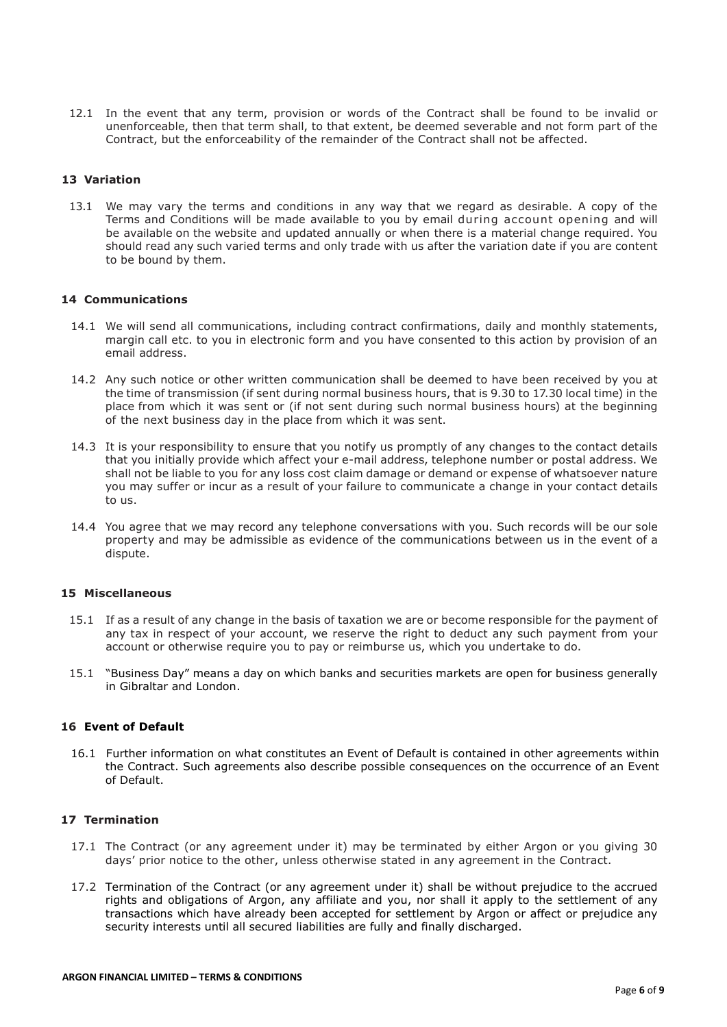12.1 In the event that any term, provision or words of the Contract shall be found to be invalid or unenforceable, then that term shall, to that extent, be deemed severable and not form part of the Contract, but the enforceability of the remainder of the Contract shall not be affected.

# 13 Variation

13.1 We may vary the terms and conditions in any way that we regard as desirable. A copy of the Terms and Conditions will be made available to you by email during account opening and will be available on the website and updated annually or when there is a material change required. You should read any such varied terms and only trade with us after the variation date if you are content to be bound by them.

## 14 Communications

- 14.1 We will send all communications, including contract confirmations, daily and monthly statements, margin call etc. to you in electronic form and you have consented to this action by provision of an email address.
- 14.2 Any such notice or other written communication shall be deemed to have been received by you at the time of transmission (if sent during normal business hours, that is 9.30 to 17.30 local time) in the place from which it was sent or (if not sent during such normal business hours) at the beginning of the next business day in the place from which it was sent.
- 14.3 It is your responsibility to ensure that you notify us promptly of any changes to the contact details that you initially provide which affect your e-mail address, telephone number or postal address. We shall not be liable to you for any loss cost claim damage or demand or expense of whatsoever nature you may suffer or incur as a result of your failure to communicate a change in your contact details to us.
- 14.4 You agree that we may record any telephone conversations with you. Such records will be our sole property and may be admissible as evidence of the communications between us in the event of a dispute.

# 15 Miscellaneous

- 15.1 If as a result of any change in the basis of taxation we are or become responsible for the payment of any tax in respect of your account, we reserve the right to deduct any such payment from your account or otherwise require you to pay or reimburse us, which you undertake to do.
- 15.1 "Business Day" means a day on which banks and securities markets are open for business generally in Gibraltar and London.

# 16 Event of Default

16.1 Further information on what constitutes an Event of Default is contained in other agreements within the Contract. Such agreements also describe possible consequences on the occurrence of an Event of Default.

# 17 Termination

- 17.1 The Contract (or any agreement under it) may be terminated by either Argon or you giving 30 days' prior notice to the other, unless otherwise stated in any agreement in the Contract.
- 17.2 Termination of the Contract (or any agreement under it) shall be without prejudice to the accrued rights and obligations of Argon, any affiliate and you, nor shall it apply to the settlement of any transactions which have already been accepted for settlement by Argon or affect or prejudice any security interests until all secured liabilities are fully and finally discharged.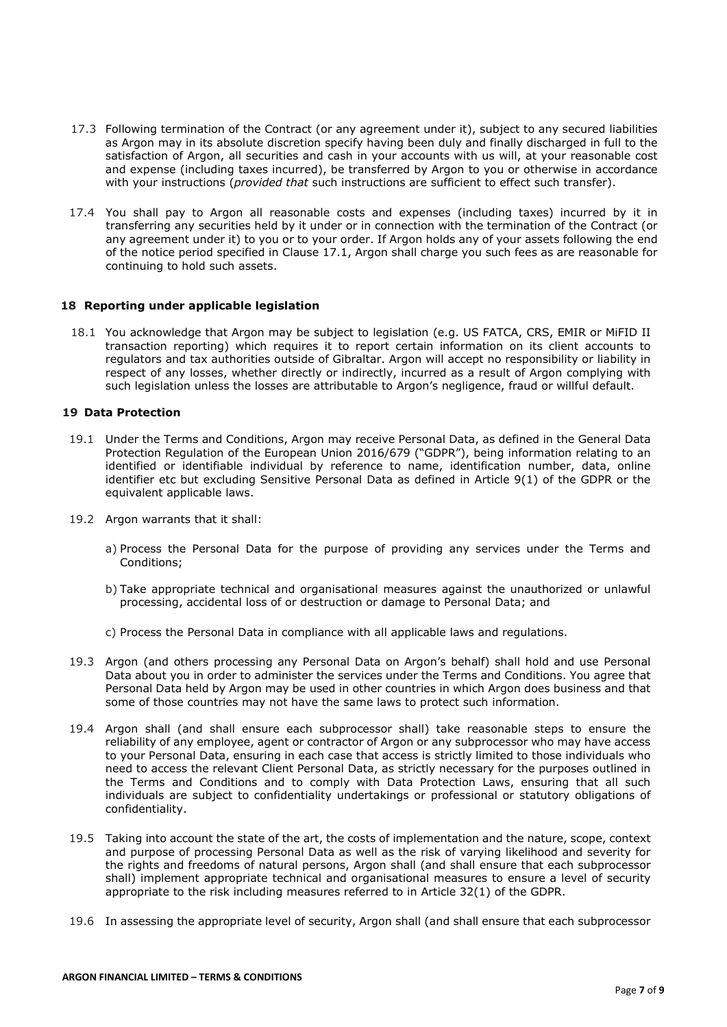- 17.3 Following termination of the Contract (or any agreement under it), subject to any secured liabilities as Argon may in its absolute discretion specify having been duly and finally discharged in full to the satisfaction of Argon, all securities and cash in your accounts with us will, at your reasonable cost and expense (including taxes incurred), be transferred by Argon to you or otherwise in accordance with your instructions (*provided that* such instructions are sufficient to effect such transfer).
- 17.4 You shall pay to Argon all reasonable costs and expenses (including taxes) incurred by it in transferring any securities held by it under or in connection with the termination of the Contract (or any agreement under it) to you or to your order. If Argon holds any of your assets following the end of the notice period specified in Clause 17.1, Argon shall charge you such fees as are reasonable for continuing to hold such assets.

## 18 Reporting under applicable legislation

18.1 You acknowledge that Argon may be subject to legislation (e.g. US FATCA, CRS, EMIR or MiFID II transaction reporting) which requires it to report certain information on its client accounts to regulators and tax authorities outside of Gibraltar. Argon will accept no responsibility or liability in respect of any losses, whether directly or indirectly, incurred as a result of Argon complying with such legislation unless the losses are attributable to Argon's negligence, fraud or willful default.

#### 19 Data Protection

- 19.1 Under the Terms and Conditions, Argon may receive Personal Data, as defined in the General Data Protection Regulation of the European Union 2016/679 ("GDPR"), being information relating to an identified or identifiable individual by reference to name, identification number, data, online identifier etc but excluding Sensitive Personal Data as defined in Article 9(1) of the GDPR or the equivalent applicable laws.
- 19.2 Argon warrants that it shall:
	- a) Process the Personal Data for the purpose of providing any services under the Terms and Conditions;
	- b) Take appropriate technical and organisational measures against the unauthorized or unlawful processing, accidental loss of or destruction or damage to Personal Data; and
	- c) Process the Personal Data in compliance with all applicable laws and regulations.
- 19.3 Argon (and others processing any Personal Data on Argon's behalf) shall hold and use Personal Data about you in order to administer the services under the Terms and Conditions. You agree that Personal Data held by Argon may be used in other countries in which Argon does business and that some of those countries may not have the same laws to protect such information.
- 19.4 Argon shall (and shall ensure each subprocessor shall) take reasonable steps to ensure the reliability of any employee, agent or contractor of Argon or any subprocessor who may have access to your Personal Data, ensuring in each case that access is strictly limited to those individuals who need to access the relevant Client Personal Data, as strictly necessary for the purposes outlined in the Terms and Conditions and to comply with Data Protection Laws, ensuring that all such individuals are subject to confidentiality undertakings or professional or statutory obligations of confidentiality.
- 19.5 Taking into account the state of the art, the costs of implementation and the nature, scope, context and purpose of processing Personal Data as well as the risk of varying likelihood and severity for the rights and freedoms of natural persons, Argon shall (and shall ensure that each subprocessor shall) implement appropriate technical and organisational measures to ensure a level of security appropriate to the risk including measures referred to in Article 32(1) of the GDPR.
- 19.6 In assessing the appropriate level of security, Argon shall (and shall ensure that each subprocessor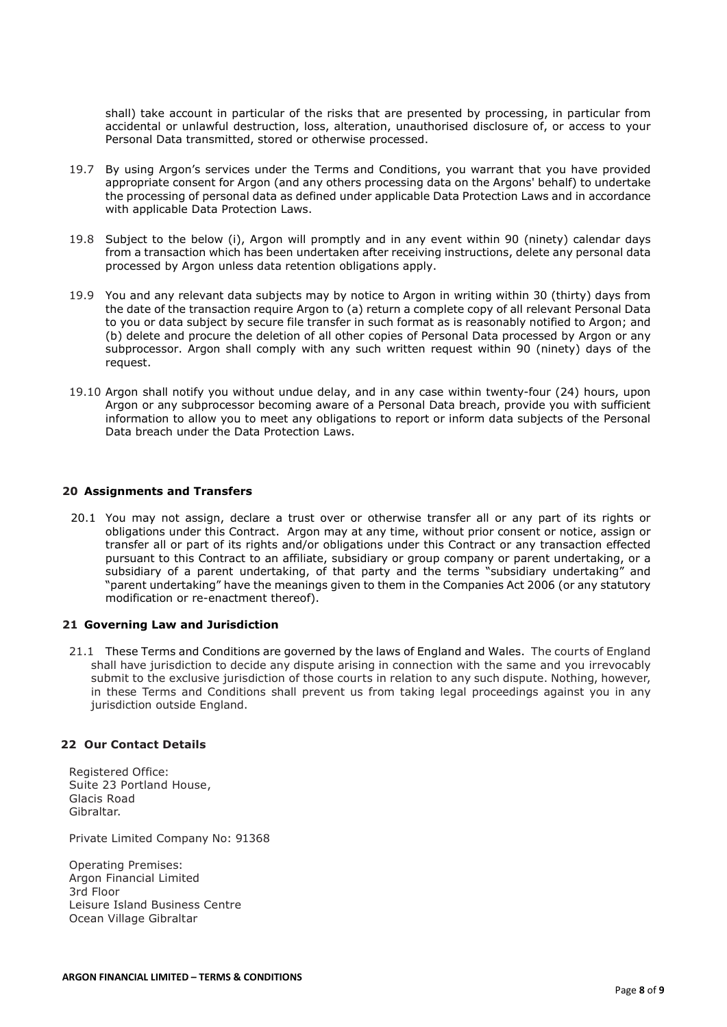shall) take account in particular of the risks that are presented by processing, in particular from accidental or unlawful destruction, loss, alteration, unauthorised disclosure of, or access to your Personal Data transmitted, stored or otherwise processed.

- 19.7 By using Argon's services under the Terms and Conditions, you warrant that you have provided appropriate consent for Argon (and any others processing data on the Argons' behalf) to undertake the processing of personal data as defined under applicable Data Protection Laws and in accordance with applicable Data Protection Laws.
- 19.8 Subject to the below (i), Argon will promptly and in any event within 90 (ninety) calendar days from a transaction which has been undertaken after receiving instructions, delete any personal data processed by Argon unless data retention obligations apply.
- 19.9 You and any relevant data subjects may by notice to Argon in writing within 30 (thirty) days from the date of the transaction require Argon to (a) return a complete copy of all relevant Personal Data to you or data subject by secure file transfer in such format as is reasonably notified to Argon; and (b) delete and procure the deletion of all other copies of Personal Data processed by Argon or any subprocessor. Argon shall comply with any such written request within 90 (ninety) days of the request.
- 19.10 Argon shall notify you without undue delay, and in any case within twenty-four (24) hours, upon Argon or any subprocessor becoming aware of a Personal Data breach, provide you with sufficient information to allow you to meet any obligations to report or inform data subjects of the Personal Data breach under the Data Protection Laws.

## 20 Assignments and Transfers

20.1 You may not assign, declare a trust over or otherwise transfer all or any part of its rights or obligations under this Contract. Argon may at any time, without prior consent or notice, assign or transfer all or part of its rights and/or obligations under this Contract or any transaction effected pursuant to this Contract to an affiliate, subsidiary or group company or parent undertaking, or a subsidiary of a parent undertaking, of that party and the terms "subsidiary undertaking" and "parent undertaking" have the meanings given to them in the Companies Act 2006 (or any statutory modification or re-enactment thereof).

#### 21 Governing Law and Jurisdiction

21.1 These Terms and Conditions are governed by the laws of England and Wales. The courts of England shall have jurisdiction to decide any dispute arising in connection with the same and you irrevocably submit to the exclusive jurisdiction of those courts in relation to any such dispute. Nothing, however, in these Terms and Conditions shall prevent us from taking legal proceedings against you in any jurisdiction outside England.

## 22 Our Contact Details

Registered Office: Suite 23 Portland House, Glacis Road Gibraltar.

Private Limited Company No: 91368

Operating Premises: Argon Financial Limited 3rd Floor Leisure Island Business Centre Ocean Village Gibraltar